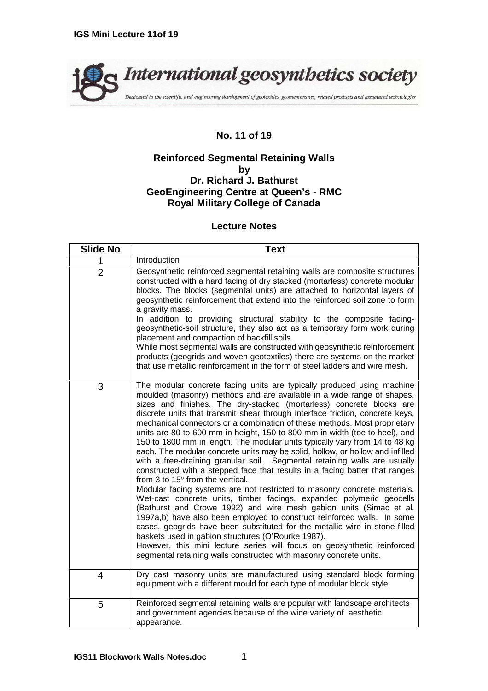

## **No. 11 of 19**

## **Reinforced Segmental Retaining Walls by Dr. Richard J. Bathurst GeoEngineering Centre at Queen's - RMC Royal Military College of Canada**

## **Lecture Notes**

| <b>Slide No</b> | <b>Text</b>                                                                                                                                                                                                                                                                                                                                                                                                                                                                                                                                                                                                                                                                                                                                                                                                                                                                                                                                                                                                                                                                                                                                                                                                                                                                                                                                                                                                                      |
|-----------------|----------------------------------------------------------------------------------------------------------------------------------------------------------------------------------------------------------------------------------------------------------------------------------------------------------------------------------------------------------------------------------------------------------------------------------------------------------------------------------------------------------------------------------------------------------------------------------------------------------------------------------------------------------------------------------------------------------------------------------------------------------------------------------------------------------------------------------------------------------------------------------------------------------------------------------------------------------------------------------------------------------------------------------------------------------------------------------------------------------------------------------------------------------------------------------------------------------------------------------------------------------------------------------------------------------------------------------------------------------------------------------------------------------------------------------|
| 1               | Introduction                                                                                                                                                                                                                                                                                                                                                                                                                                                                                                                                                                                                                                                                                                                                                                                                                                                                                                                                                                                                                                                                                                                                                                                                                                                                                                                                                                                                                     |
| $\overline{2}$  | Geosynthetic reinforced segmental retaining walls are composite structures<br>constructed with a hard facing of dry stacked (mortarless) concrete modular<br>blocks. The blocks (segmental units) are attached to horizontal layers of<br>geosynthetic reinforcement that extend into the reinforced soil zone to form<br>a gravity mass.<br>In addition to providing structural stability to the composite facing-<br>geosynthetic-soil structure, they also act as a temporary form work during<br>placement and compaction of backfill soils.<br>While most segmental walls are constructed with geosynthetic reinforcement<br>products (geogrids and woven geotextiles) there are systems on the market<br>that use metallic reinforcement in the form of steel ladders and wire mesh.                                                                                                                                                                                                                                                                                                                                                                                                                                                                                                                                                                                                                                       |
| 3               | The modular concrete facing units are typically produced using machine<br>moulded (masonry) methods and are available in a wide range of shapes,<br>sizes and finishes. The dry-stacked (mortarless) concrete blocks are<br>discrete units that transmit shear through interface friction, concrete keys,<br>mechanical connectors or a combination of these methods. Most proprietary<br>units are 80 to 600 mm in height, 150 to 800 mm in width (toe to heel), and<br>150 to 1800 mm in length. The modular units typically vary from 14 to 48 kg<br>each. The modular concrete units may be solid, hollow, or hollow and infilled<br>with a free-draining granular soil. Segmental retaining walls are usually<br>constructed with a stepped face that results in a facing batter that ranges<br>from 3 to 15° from the vertical.<br>Modular facing systems are not restricted to masonry concrete materials.<br>Wet-cast concrete units, timber facings, expanded polymeric geocells<br>(Bathurst and Crowe 1992) and wire mesh gabion units (Simac et al.<br>1997a,b) have also been employed to construct reinforced walls. In some<br>cases, geogrids have been substituted for the metallic wire in stone-filled<br>baskets used in gabion structures (O'Rourke 1987).<br>However, this mini lecture series will focus on geosynthetic reinforced<br>segmental retaining walls constructed with masonry concrete units. |
| 4               | Dry cast masonry units are manufactured using standard block forming<br>equipment with a different mould for each type of modular block style.                                                                                                                                                                                                                                                                                                                                                                                                                                                                                                                                                                                                                                                                                                                                                                                                                                                                                                                                                                                                                                                                                                                                                                                                                                                                                   |
| 5               | Reinforced segmental retaining walls are popular with landscape architects<br>and government agencies because of the wide variety of aesthetic<br>appearance.                                                                                                                                                                                                                                                                                                                                                                                                                                                                                                                                                                                                                                                                                                                                                                                                                                                                                                                                                                                                                                                                                                                                                                                                                                                                    |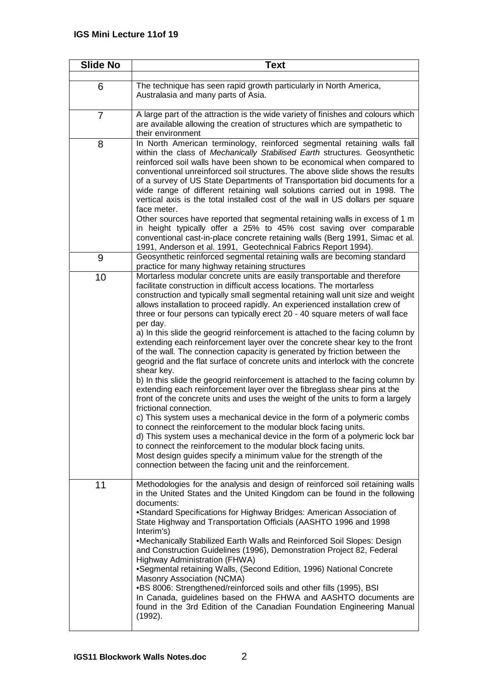| <b>Slide No</b> | <b>Text</b>                                                                                                                                                                                                                                                                                                                                                                                                                                                                                                                                                                                                                                                                                                                                                                                                                                                                                                                                                                                                                                                                                                                                                                                                                                                                                                                                                                                                                                                                |
|-----------------|----------------------------------------------------------------------------------------------------------------------------------------------------------------------------------------------------------------------------------------------------------------------------------------------------------------------------------------------------------------------------------------------------------------------------------------------------------------------------------------------------------------------------------------------------------------------------------------------------------------------------------------------------------------------------------------------------------------------------------------------------------------------------------------------------------------------------------------------------------------------------------------------------------------------------------------------------------------------------------------------------------------------------------------------------------------------------------------------------------------------------------------------------------------------------------------------------------------------------------------------------------------------------------------------------------------------------------------------------------------------------------------------------------------------------------------------------------------------------|
| 6               | The technique has seen rapid growth particularly in North America,<br>Australasia and many parts of Asia.                                                                                                                                                                                                                                                                                                                                                                                                                                                                                                                                                                                                                                                                                                                                                                                                                                                                                                                                                                                                                                                                                                                                                                                                                                                                                                                                                                  |
| $\overline{7}$  | A large part of the attraction is the wide variety of finishes and colours which<br>are available allowing the creation of structures which are sympathetic to<br>their environment                                                                                                                                                                                                                                                                                                                                                                                                                                                                                                                                                                                                                                                                                                                                                                                                                                                                                                                                                                                                                                                                                                                                                                                                                                                                                        |
| 8               | In North American terminology, reinforced segmental retaining walls fall<br>within the class of Mechanically Stabilised Earth structures. Geosynthetic<br>reinforced soil walls have been shown to be economical when compared to<br>conventional unreinforced soil structures. The above slide shows the results<br>of a survey of US State Departments of Transportation bid documents for a<br>wide range of different retaining wall solutions carried out in 1998. The<br>vertical axis is the total installed cost of the wall in US dollars per square<br>face meter.<br>Other sources have reported that segmental retaining walls in excess of 1 m<br>in height typically offer a 25% to 45% cost saving over comparable<br>conventional cast-in-place concrete retaining walls (Berg 1991, Simac et al.<br>1991, Anderson et al. 1991, Geotechnical Fabrics Report 1994).                                                                                                                                                                                                                                                                                                                                                                                                                                                                                                                                                                                        |
| 9               | Geosynthetic reinforced segmental retaining walls are becoming standard<br>practice for many highway retaining structures                                                                                                                                                                                                                                                                                                                                                                                                                                                                                                                                                                                                                                                                                                                                                                                                                                                                                                                                                                                                                                                                                                                                                                                                                                                                                                                                                  |
| 10              | Mortarless modular concrete units are easily transportable and therefore<br>facilitate construction in difficult access locations. The mortarless<br>construction and typically small segmental retaining wall unit size and weight<br>allows installation to proceed rapidly. An experienced installation crew of<br>three or four persons can typically erect 20 - 40 square meters of wall face<br>per day.<br>a) In this slide the geogrid reinforcement is attached to the facing column by<br>extending each reinforcement layer over the concrete shear key to the front<br>of the wall. The connection capacity is generated by friction between the<br>geogrid and the flat surface of concrete units and interlock with the concrete<br>shear key.<br>b) In this slide the geogrid reinforcement is attached to the facing column by<br>extending each reinforcement layer over the fibreglass shear pins at the<br>front of the concrete units and uses the weight of the units to form a largely<br>frictional connection.<br>c) This system uses a mechanical device in the form of a polymeric combs<br>to connect the reinforcement to the modular block facing units.<br>d) This system uses a mechanical device in the form of a polymeric lock bar<br>to connect the reinforcement to the modular block facing units.<br>Most design guides specify a minimum value for the strength of the<br>connection between the facing unit and the reinforcement. |
| 11              | Methodologies for the analysis and design of reinforced soil retaining walls<br>in the United States and the United Kingdom can be found in the following<br>documents:<br>•Standard Specifications for Highway Bridges: American Association of<br>State Highway and Transportation Officials (AASHTO 1996 and 1998<br>Interim's)<br>•Mechanically Stabilized Earth Walls and Reinforced Soil Slopes: Design<br>and Construction Guidelines (1996), Demonstration Project 82, Federal<br>Highway Administration (FHWA)<br>•Segmental retaining Walls, (Second Edition, 1996) National Concrete<br>Masonry Association (NCMA)<br>.BS 8006: Strengthened/reinforced soils and other fills (1995), BSI<br>In Canada, guidelines based on the FHWA and AASHTO documents are<br>found in the 3rd Edition of the Canadian Foundation Engineering Manual<br>(1992).                                                                                                                                                                                                                                                                                                                                                                                                                                                                                                                                                                                                              |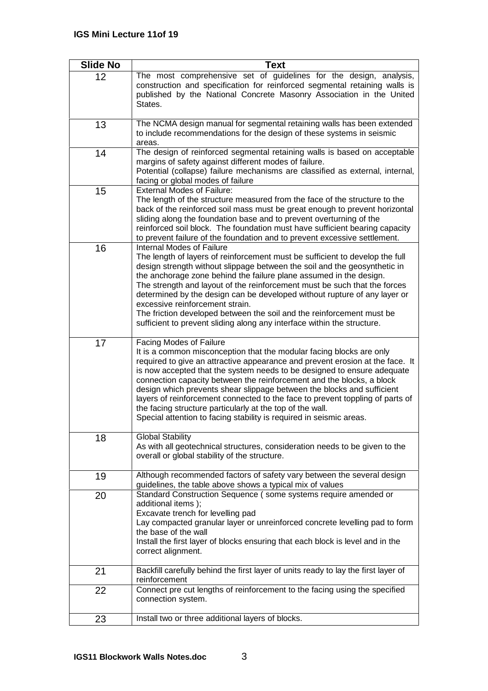| <b>Slide No</b> | <b>Text</b>                                                                                                                                                                                                                                                                                                                                                                                                                                                                                                                                                                                                                         |
|-----------------|-------------------------------------------------------------------------------------------------------------------------------------------------------------------------------------------------------------------------------------------------------------------------------------------------------------------------------------------------------------------------------------------------------------------------------------------------------------------------------------------------------------------------------------------------------------------------------------------------------------------------------------|
| 12              | The most comprehensive set of guidelines for the design, analysis,<br>construction and specification for reinforced segmental retaining walls is<br>published by the National Concrete Masonry Association in the United<br>States.                                                                                                                                                                                                                                                                                                                                                                                                 |
| 13              | The NCMA design manual for segmental retaining walls has been extended<br>to include recommendations for the design of these systems in seismic<br>areas.                                                                                                                                                                                                                                                                                                                                                                                                                                                                           |
| 14              | The design of reinforced segmental retaining walls is based on acceptable<br>margins of safety against different modes of failure.<br>Potential (collapse) failure mechanisms are classified as external, internal,<br>facing or global modes of failure                                                                                                                                                                                                                                                                                                                                                                            |
| 15              | <b>External Modes of Failure:</b><br>The length of the structure measured from the face of the structure to the<br>back of the reinforced soil mass must be great enough to prevent horizontal<br>sliding along the foundation base and to prevent overturning of the<br>reinforced soil block. The foundation must have sufficient bearing capacity<br>to prevent failure of the foundation and to prevent excessive settlement.                                                                                                                                                                                                   |
| 16              | Internal Modes of Failure<br>The length of layers of reinforcement must be sufficient to develop the full<br>design strength without slippage between the soil and the geosynthetic in<br>the anchorage zone behind the failure plane assumed in the design.<br>The strength and layout of the reinforcement must be such that the forces<br>determined by the design can be developed without rupture of any layer or<br>excessive reinforcement strain.<br>The friction developed between the soil and the reinforcement must be<br>sufficient to prevent sliding along any interface within the structure.                       |
| 17              | Facing Modes of Failure<br>It is a common misconception that the modular facing blocks are only<br>required to give an attractive appearance and prevent erosion at the face. It<br>is now accepted that the system needs to be designed to ensure adequate<br>connection capacity between the reinforcement and the blocks, a block<br>design which prevents shear slippage between the blocks and sufficient<br>layers of reinforcement connected to the face to prevent toppling of parts of<br>the facing structure particularly at the top of the wall.<br>Special attention to facing stability is required in seismic areas. |
| 18              | <b>Global Stability</b><br>As with all geotechnical structures, consideration needs to be given to the<br>overall or global stability of the structure.                                                                                                                                                                                                                                                                                                                                                                                                                                                                             |
| 19              | Although recommended factors of safety vary between the several design<br>guidelines, the table above shows a typical mix of values                                                                                                                                                                                                                                                                                                                                                                                                                                                                                                 |
| 20              | Standard Construction Sequence (some systems require amended or<br>additional items);<br>Excavate trench for levelling pad<br>Lay compacted granular layer or unreinforced concrete levelling pad to form<br>the base of the wall<br>Install the first layer of blocks ensuring that each block is level and in the<br>correct alignment.                                                                                                                                                                                                                                                                                           |
| 21<br>22        | Backfill carefully behind the first layer of units ready to lay the first layer of<br>reinforcement<br>Connect pre cut lengths of reinforcement to the facing using the specified                                                                                                                                                                                                                                                                                                                                                                                                                                                   |
|                 | connection system.                                                                                                                                                                                                                                                                                                                                                                                                                                                                                                                                                                                                                  |
| 23              | Install two or three additional layers of blocks.                                                                                                                                                                                                                                                                                                                                                                                                                                                                                                                                                                                   |